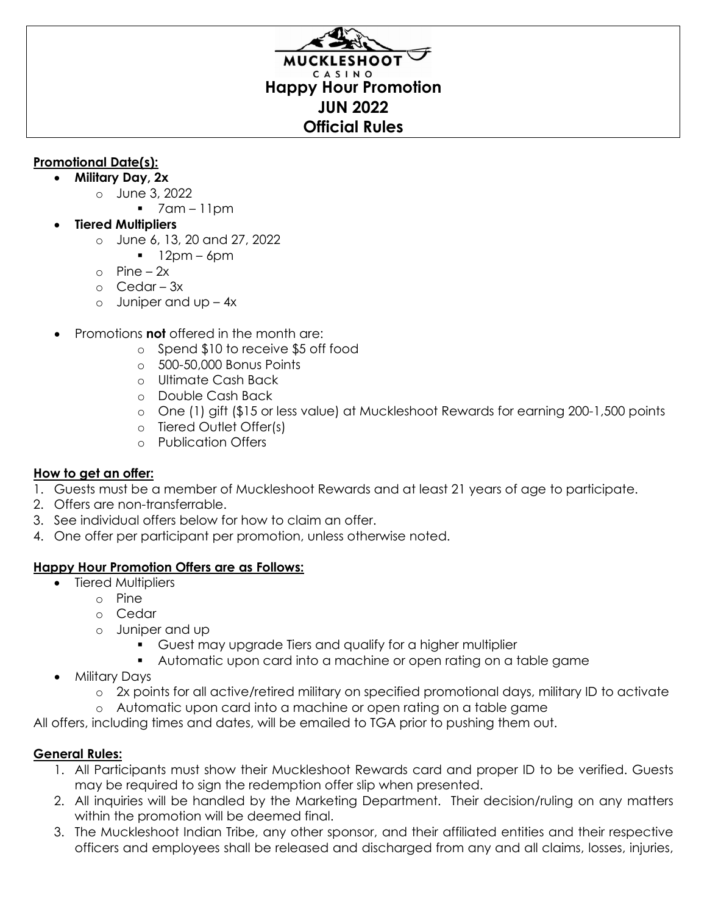# CASINO **Happy Hour Promotion JUN 2022 Official Rules**

## **Promotional Date(s):**

- **Military Day, 2x**
	- o June 3, 2022
		- 7am 11pm
- **Tiered Multipliers**
	- o June 6, 13, 20 and 27, 2022
		- $12pm 6pm$
	- $\circ$  Pine 2x
	- o Cedar 3x
	- $\circ$  Juniper and up  $-4x$
- Promotions **not** offered in the month are:
	- o Spend \$10 to receive \$5 off food
	- o 500-50,000 Bonus Points
	- o Ultimate Cash Back
	- o Double Cash Back
	- o One (1) gift (\$15 or less value) at Muckleshoot Rewards for earning 200-1,500 points
	- o Tiered Outlet Offer(s)
	- o Publication Offers

## **How to get an offer:**

- 1. Guests must be a member of Muckleshoot Rewards and at least 21 years of age to participate.
- 2. Offers are non-transferrable.
- 3. See individual offers below for how to claim an offer.
- 4. One offer per participant per promotion, unless otherwise noted.

## **Happy Hour Promotion Offers are as Follows:**

- Tiered Multipliers
	- o Pine
	- o Cedar
	- o Juniper and up
		- Guest may upgrade Tiers and qualify for a higher multiplier
		- Automatic upon card into a machine or open rating on a table game
- Military Days
	- o 2x points for all active/retired military on specified promotional days, military ID to activate
	- o Automatic upon card into a machine or open rating on a table game

All offers, including times and dates, will be emailed to TGA prior to pushing them out.

## **General Rules:**

- 1. All Participants must show their Muckleshoot Rewards card and proper ID to be verified. Guests may be required to sign the redemption offer slip when presented.
- 2. All inquiries will be handled by the Marketing Department. Their decision/ruling on any matters within the promotion will be deemed final.
- 3. The Muckleshoot Indian Tribe, any other sponsor, and their affiliated entities and their respective officers and employees shall be released and discharged from any and all claims, losses, injuries,